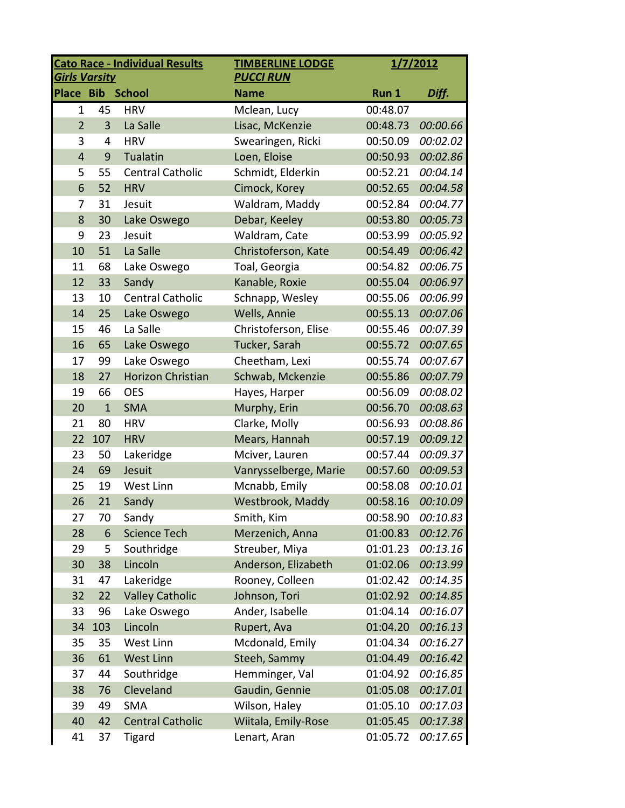| <b>Cato Race - Individual Results</b><br><b>Girls Varsity</b> |                |                          | <b>TIMBERLINE LODGE</b><br><b>PUCCI RUN</b> | <u>1/7/2012</u> |          |
|---------------------------------------------------------------|----------------|--------------------------|---------------------------------------------|-----------------|----------|
| <b>Place Bib</b>                                              |                | <b>School</b>            | <b>Name</b>                                 | Run 1           | Diff.    |
| $\mathbf{1}$                                                  | 45             | <b>HRV</b>               | Mclean, Lucy                                | 00:48.07        |          |
| $\overline{2}$                                                | 3              | La Salle                 | Lisac, McKenzie                             | 00:48.73        | 00:00.66 |
| 3                                                             | 4              | <b>HRV</b>               | Swearingen, Ricki                           | 00:50.09        | 00:02.02 |
| $\overline{4}$                                                | 9              | Tualatin                 | Loen, Eloise                                | 00:50.93        | 00:02.86 |
| 5                                                             | 55             | <b>Central Catholic</b>  | Schmidt, Elderkin                           | 00:52.21        | 00:04.14 |
| 6                                                             | 52             | <b>HRV</b>               | Cimock, Korey                               | 00:52.65        | 00:04.58 |
| 7                                                             | 31             | Jesuit                   | Waldram, Maddy                              | 00:52.84        | 00:04.77 |
| 8                                                             | 30             | Lake Oswego              | Debar, Keeley                               | 00:53.80        | 00:05.73 |
| 9                                                             | 23             | Jesuit                   | Waldram, Cate                               | 00:53.99        | 00:05.92 |
| 10                                                            | 51             | La Salle                 | Christoferson, Kate                         | 00:54.49        | 00:06.42 |
| 11                                                            | 68             | Lake Oswego              | Toal, Georgia                               | 00:54.82        | 00:06.75 |
| 12                                                            | 33             | Sandy                    | Kanable, Roxie                              | 00:55.04        | 00:06.97 |
| 13                                                            | 10             | <b>Central Catholic</b>  | Schnapp, Wesley                             | 00:55.06        | 00:06.99 |
| 14                                                            | 25             | Lake Oswego              | Wells, Annie                                | 00:55.13        | 00:07.06 |
| 15                                                            | 46             | La Salle                 | Christoferson, Elise                        | 00:55.46        | 00:07.39 |
| 16                                                            | 65             | Lake Oswego              | Tucker, Sarah                               | 00:55.72        | 00:07.65 |
| 17                                                            | 99             | Lake Oswego              | Cheetham, Lexi                              | 00:55.74        | 00:07.67 |
| 18                                                            | 27             | <b>Horizon Christian</b> | Schwab, Mckenzie                            | 00:55.86        | 00:07.79 |
| 19                                                            | 66             | <b>OES</b>               | Hayes, Harper                               | 00:56.09        | 00:08.02 |
| 20                                                            | $\overline{1}$ | <b>SMA</b>               | Murphy, Erin                                | 00:56.70        | 00:08.63 |
| 21                                                            | 80             | <b>HRV</b>               | Clarke, Molly                               | 00:56.93        | 00:08.86 |
| 22                                                            | 107            | <b>HRV</b>               | Mears, Hannah                               | 00:57.19        | 00:09.12 |
| 23                                                            | 50             | Lakeridge                | Mciver, Lauren                              | 00:57.44        | 00:09.37 |
| 24                                                            | 69             | Jesuit                   | Vanrysselberge, Marie                       | 00:57.60        | 00:09.53 |
| 25                                                            | 19             | West Linn                | Mcnabb, Emily                               | 00:58.08        | 00:10.01 |
| 26                                                            | 21             | Sandy                    | Westbrook, Maddy                            | 00:58.16        | 00:10.09 |
| 27                                                            | 70             | Sandy                    | Smith, Kim                                  | 00:58.90        | 00:10.83 |
| 28                                                            | 6              | <b>Science Tech</b>      | Merzenich, Anna                             | 01:00.83        | 00:12.76 |
| 29                                                            | 5              | Southridge               | Streuber, Miya                              | 01:01.23        | 00:13.16 |
| 30                                                            | 38             | Lincoln                  | Anderson, Elizabeth                         | 01:02.06        | 00:13.99 |
| 31                                                            | 47             | Lakeridge                | Rooney, Colleen                             | 01:02.42        | 00:14.35 |
| 32                                                            | 22             | <b>Valley Catholic</b>   | Johnson, Tori                               | 01:02.92        | 00:14.85 |
| 33                                                            | 96             | Lake Oswego              | Ander, Isabelle                             | 01:04.14        | 00:16.07 |
| 34                                                            | 103            | Lincoln                  | Rupert, Ava                                 | 01:04.20        | 00:16.13 |
| 35                                                            | 35             | West Linn                | Mcdonald, Emily                             | 01:04.34        | 00:16.27 |
| 36                                                            | 61             | <b>West Linn</b>         | Steeh, Sammy                                | 01:04.49        | 00:16.42 |
| 37                                                            | 44             | Southridge               | Hemminger, Val                              | 01:04.92        | 00:16.85 |
| 38                                                            | 76             | Cleveland                | Gaudin, Gennie                              | 01:05.08        | 00:17.01 |
| 39                                                            | 49             | <b>SMA</b>               | Wilson, Haley                               | 01:05.10        | 00:17.03 |
| 40                                                            | 42             | <b>Central Catholic</b>  | Wiitala, Emily-Rose                         | 01:05.45        | 00:17.38 |
| 41                                                            | 37             | <b>Tigard</b>            | Lenart, Aran                                | 01:05.72        | 00:17.65 |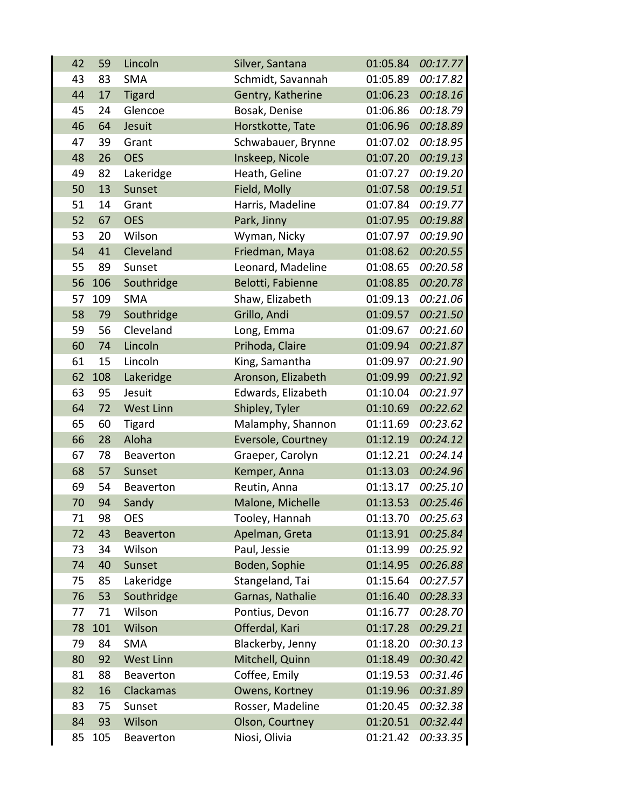| 42 | 59  | Lincoln          | Silver, Santana    | 01:05.84 | 00:17.77 |
|----|-----|------------------|--------------------|----------|----------|
| 43 | 83  | <b>SMA</b>       | Schmidt, Savannah  | 01:05.89 | 00:17.82 |
| 44 | 17  | <b>Tigard</b>    | Gentry, Katherine  | 01:06.23 | 00:18.16 |
| 45 | 24  | Glencoe          | Bosak, Denise      | 01:06.86 | 00:18.79 |
| 46 | 64  | Jesuit           | Horstkotte, Tate   | 01:06.96 | 00:18.89 |
| 47 | 39  | Grant            | Schwabauer, Brynne | 01:07.02 | 00:18.95 |
| 48 | 26  | <b>OES</b>       | Inskeep, Nicole    | 01:07.20 | 00:19.13 |
| 49 | 82  | Lakeridge        | Heath, Geline      | 01:07.27 | 00:19.20 |
| 50 | 13  | Sunset           | Field, Molly       | 01:07.58 | 00:19.51 |
| 51 | 14  | Grant            | Harris, Madeline   | 01:07.84 | 00:19.77 |
| 52 | 67  | <b>OES</b>       | Park, Jinny        | 01:07.95 | 00:19.88 |
| 53 | 20  | Wilson           | Wyman, Nicky       | 01:07.97 | 00:19.90 |
| 54 | 41  | Cleveland        | Friedman, Maya     | 01:08.62 | 00:20.55 |
| 55 | 89  | Sunset           | Leonard, Madeline  | 01:08.65 | 00:20.58 |
| 56 | 106 | Southridge       | Belotti, Fabienne  | 01:08.85 | 00:20.78 |
| 57 | 109 | <b>SMA</b>       | Shaw, Elizabeth    | 01:09.13 | 00:21.06 |
| 58 | 79  | Southridge       | Grillo, Andi       | 01:09.57 | 00:21.50 |
| 59 | 56  | Cleveland        | Long, Emma         | 01:09.67 | 00:21.60 |
| 60 | 74  | Lincoln          | Prihoda, Claire    | 01:09.94 | 00:21.87 |
| 61 | 15  | Lincoln          | King, Samantha     | 01:09.97 | 00:21.90 |
| 62 | 108 | Lakeridge        | Aronson, Elizabeth | 01:09.99 | 00:21.92 |
| 63 | 95  | Jesuit           | Edwards, Elizabeth | 01:10.04 | 00:21.97 |
| 64 | 72  | <b>West Linn</b> | Shipley, Tyler     | 01:10.69 | 00:22.62 |
| 65 | 60  | <b>Tigard</b>    | Malamphy, Shannon  | 01:11.69 | 00:23.62 |
| 66 | 28  | Aloha            | Eversole, Courtney | 01:12.19 | 00:24.12 |
| 67 | 78  | Beaverton        | Graeper, Carolyn   | 01:12.21 | 00:24.14 |
| 68 | 57  | Sunset           | Kemper, Anna       | 01:13.03 | 00:24.96 |
| 69 | 54  | Beaverton        | Reutin, Anna       | 01:13.17 | 00:25.10 |
| 70 | 94  | Sandy            | Malone, Michelle   | 01:13.53 | 00:25.46 |
| 71 | 98  | <b>OES</b>       | Tooley, Hannah     | 01:13.70 | 00:25.63 |
| 72 | 43  | Beaverton        | Apelman, Greta     | 01:13.91 | 00:25.84 |
| 73 | 34  | Wilson           | Paul, Jessie       | 01:13.99 | 00:25.92 |
| 74 | 40  | Sunset           | Boden, Sophie      | 01:14.95 | 00:26.88 |
| 75 | 85  | Lakeridge        | Stangeland, Tai    | 01:15.64 | 00:27.57 |
| 76 | 53  | Southridge       | Garnas, Nathalie   | 01:16.40 | 00:28.33 |
| 77 | 71  | Wilson           | Pontius, Devon     | 01:16.77 | 00:28.70 |
| 78 | 101 | Wilson           | Offerdal, Kari     | 01:17.28 | 00:29.21 |
| 79 | 84  | <b>SMA</b>       | Blackerby, Jenny   | 01:18.20 | 00:30.13 |
| 80 | 92  | <b>West Linn</b> | Mitchell, Quinn    | 01:18.49 | 00:30.42 |
| 81 | 88  | Beaverton        | Coffee, Emily      | 01:19.53 | 00:31.46 |
| 82 | 16  | Clackamas        | Owens, Kortney     | 01:19.96 | 00:31.89 |
| 83 | 75  | Sunset           | Rosser, Madeline   | 01:20.45 | 00:32.38 |
| 84 | 93  | Wilson           | Olson, Courtney    | 01:20.51 | 00:32.44 |
| 85 | 105 | Beaverton        | Niosi, Olivia      | 01:21.42 | 00:33.35 |